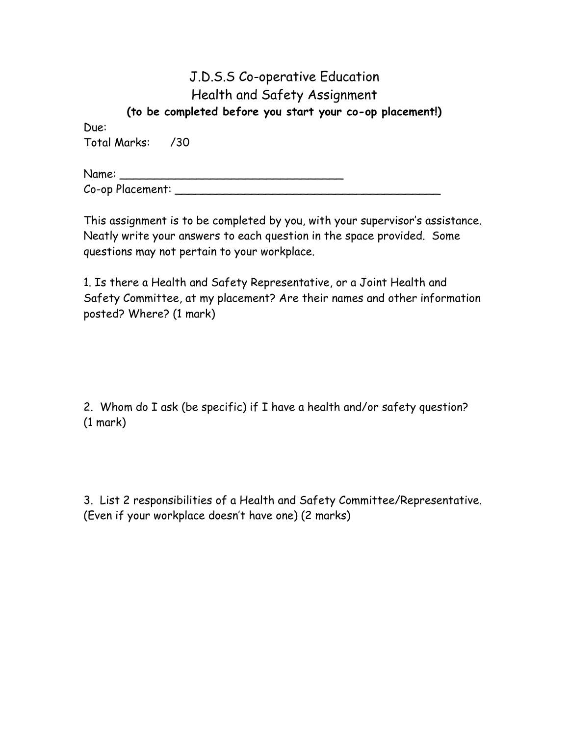## J.D.S.S Co-operative Education Health and Safety Assignment (to be completed before you start your co-op placement!)

Due: Total Marks: /30

| Name:            |  |
|------------------|--|
| Co-op Placement: |  |

This assignment is to be completed by you, with your supervisor's assistance. Neatly write your answers to each question in the space provided. Some questions may not pertain to your workplace.

1. Is there a Health and Safety Representative, or a Joint Health and Safety Committee, at my placement? Are their names and other information posted? Where? (1 mark)

2. Whom do I ask (be specific) if I have a health and/or safety question? (1 mark)

3. List 2 responsibilities of a Health and Safety Committee/Representative. (Even if your workplace doesn't have one) (2 marks)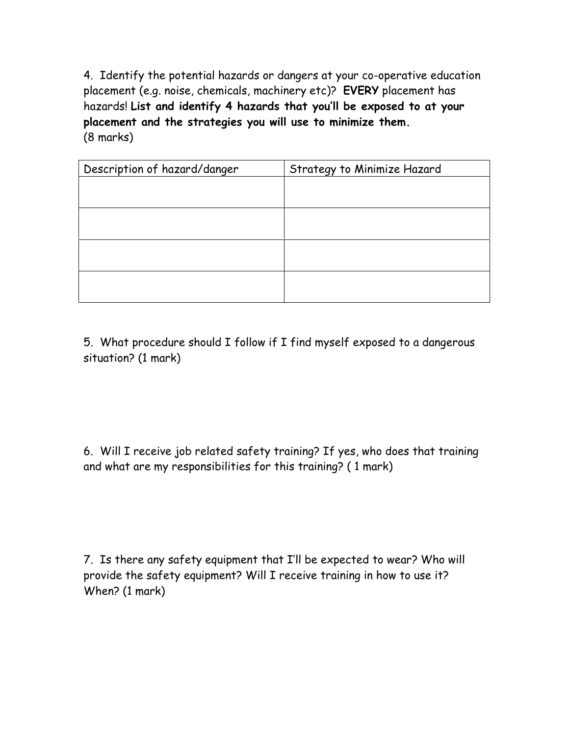4. Identify the potential hazards or dangers at your co-operative education placement (e.g. noise, chemicals, machinery etc)? EVERY placement has hazards! List and identify 4 hazards that you'll be exposed to at your placement and the strategies you will use to minimize them. (8 marks)

| Description of hazard/danger | Strategy to Minimize Hazard |
|------------------------------|-----------------------------|
|                              |                             |
|                              |                             |
|                              |                             |
|                              |                             |
|                              |                             |
|                              |                             |
|                              |                             |
|                              |                             |

5. What procedure should I follow if I find myself exposed to a dangerous situation? (1 mark)

6. Will I receive job related safety training? If yes, who does that training and what are my responsibilities for this training? ( 1 mark)

7. Is there any safety equipment that I'll be expected to wear? Who will provide the safety equipment? Will I receive training in how to use it? When? (1 mark)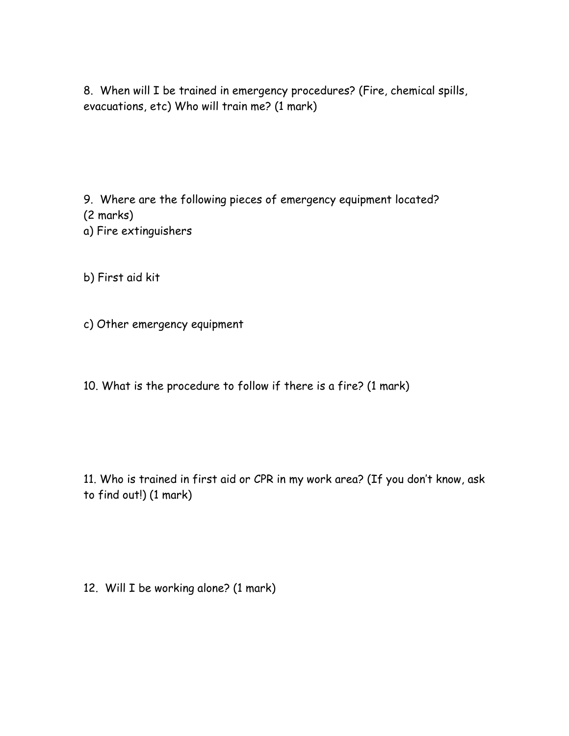8. When will I be trained in emergency procedures? (Fire, chemical spills, evacuations, etc) Who will train me? (1 mark)

9. Where are the following pieces of emergency equipment located? (2 marks)

- a) Fire extinguishers
- b) First aid kit
- c) Other emergency equipment
- 10. What is the procedure to follow if there is a fire? (1 mark)

11. Who is trained in first aid or CPR in my work area? (If you don't know, ask to find out!) (1 mark)

12. Will I be working alone? (1 mark)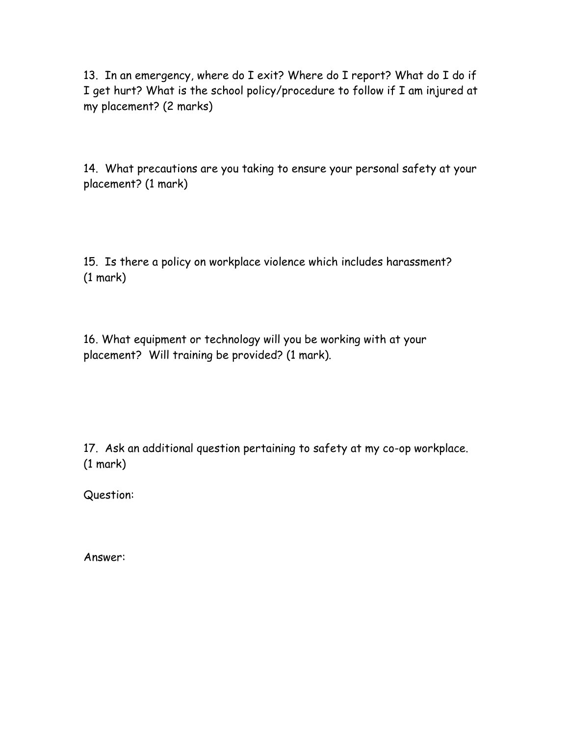13. In an emergency, where do I exit? Where do I report? What do I do if I get hurt? What is the school policy/procedure to follow if I am injured at my placement? (2 marks)

14. What precautions are you taking to ensure your personal safety at your placement? (1 mark)

15. Is there a policy on workplace violence which includes harassment? (1 mark)

16. What equipment or technology will you be working with at your placement? Will training be provided? (1 mark).

17. Ask an additional question pertaining to safety at my co-op workplace. (1 mark)

Question:

Answer: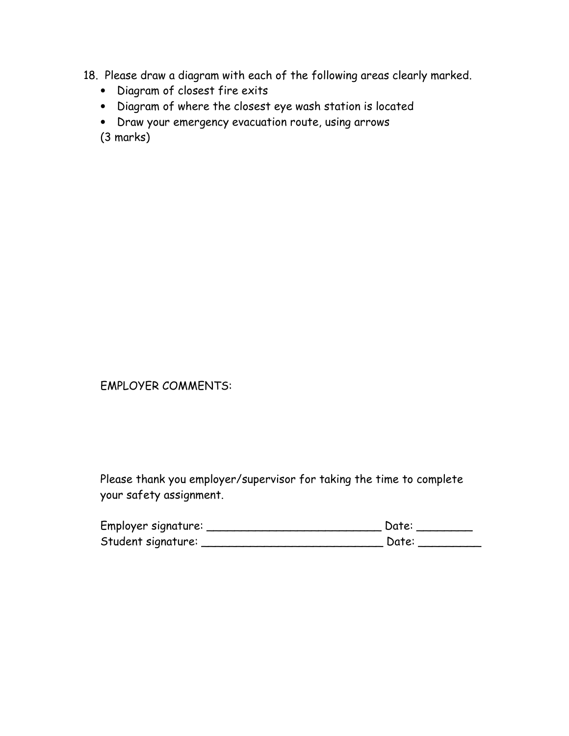- 18. Please draw a diagram with each of the following areas clearly marked.
	- Diagram of closest fire exits
	- Diagram of where the closest eye wash station is located
	- Draw your emergency evacuation route, using arrows

(3 marks)

## EMPLOYER COMMENTS:

Please thank you employer/supervisor for taking the time to complete your safety assignment.

| Employer signature: | Date: |
|---------------------|-------|
| Student signature:  | Date: |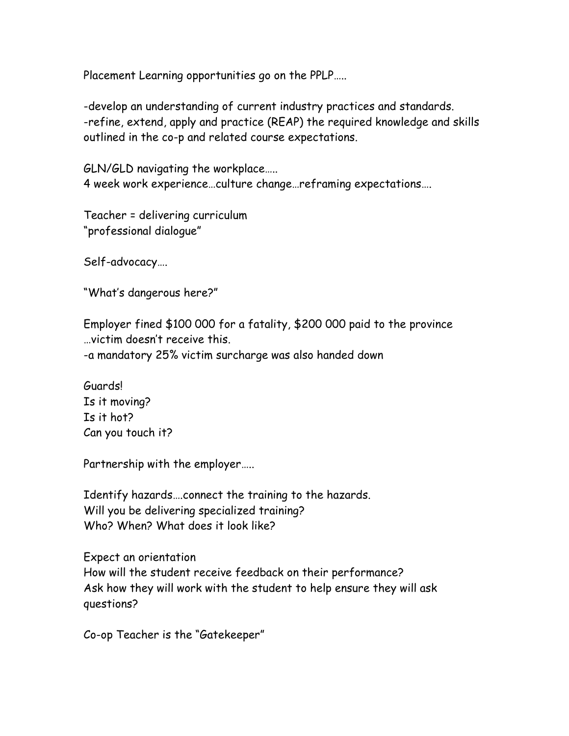Placement Learning opportunities go on the PPLP…..

-develop an understanding of current industry practices and standards. -refine, extend, apply and practice (REAP) the required knowledge and skills outlined in the co-p and related course expectations.

GLN/GLD navigating the workplace….. 4 week work experience…culture change…reframing expectations….

Teacher = delivering curriculum "professional dialogue"

Self-advocacy….

"What's dangerous here?"

Employer fined \$100 000 for a fatality, \$200 000 paid to the province …victim doesn't receive this. -a mandatory 25% victim surcharge was also handed down

Guards! Is it moving? Is it hot? Can you touch it?

Partnership with the employer…..

Identify hazards….connect the training to the hazards. Will you be delivering specialized training? Who? When? What does it look like?

Expect an orientation How will the student receive feedback on their performance? Ask how they will work with the student to help ensure they will ask questions?

Co-op Teacher is the "Gatekeeper"